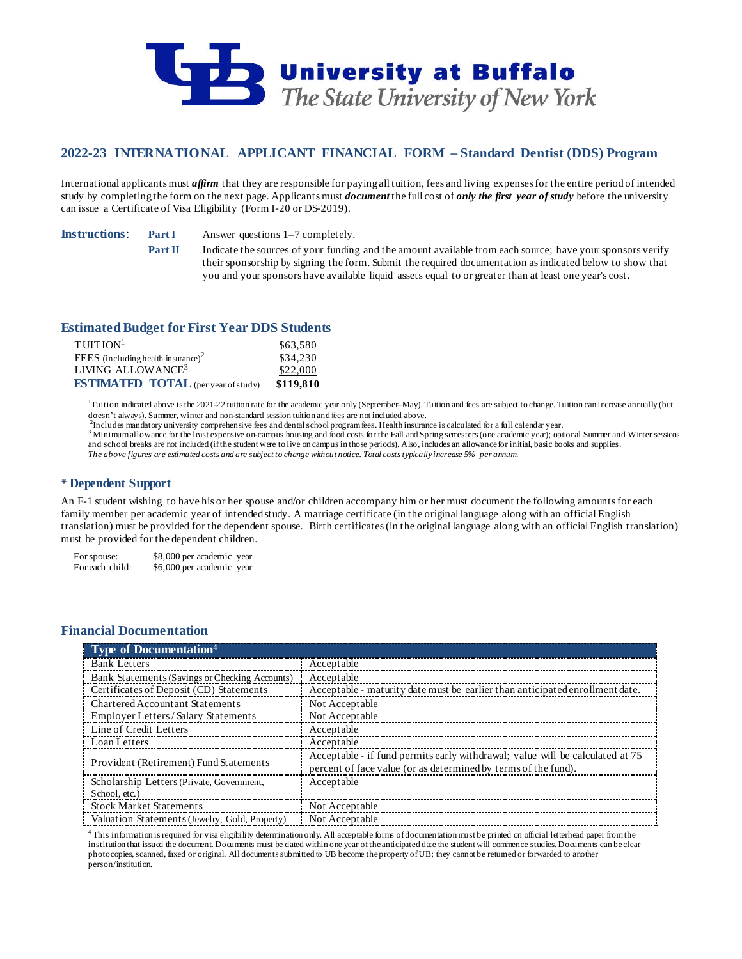

# **2022-23 INTERNATIONAL APPLICANT FINANCIAL FORM – Standard Dentist (DDS) Program**

International applicants must *affirm* that they are responsible for paying all tuition, fees and living expenses for the entire period of intended study by completing the form on the next page. Applicants must *document* the full cost of *only the first year of study* before the university can issue a Certificate of Visa Eligibility (Form I-20 or DS-2019).

**Instructions: Part I** Answer questions 1–7 completely.

**Part II** Indicate the sources of your funding and the amount available from each source; have your sponsors verify their sponsorship by signing the form. Submit the required documentation as indicated below to show that you and your sponsors have available liquid assets equal to or greater than at least one year's cost.

## **Estimated Budget for First Year DDS Students**

| TUITION <sup>1</sup>                       | \$63.580  |
|--------------------------------------------|-----------|
| FEES (including health insurance) $2$      | \$34,230  |
| LIVING ALLOWANCE <sup>3</sup>              | \$22,000  |
| <b>ESTIMATED TOTAL</b> (per year of study) | \$119,810 |

<sup>1</sup>Tuition indicated above is the 2021-22 tuition rate for the academic year only (September–May). Tuition and fees are subject to change. Tuition can increase annually (but

doesn't always). Summer, winter and non-standard session tuition and fees are not included above.<br><sup>2</sup>Includes mandatory university comprehensive fees and dental school program fees. Health insurance is calculated for a ful

<sup>3</sup> Minimum allowance for the least expensive on-campus housing and food costs for the Fall and Spring semesters (one academic year); optional Summer and Winter sessions and school breaks are not included (if the student were to live on campus in those periods). Also, includes an allowance for initial, basic books and supplies. *The above figures are estimated costs and are subject to change without notice. Total costs typically increase 5% per annum.*

## **Dependent Support**

An F-1 student wishing to have his or her spouse and/or children accompany him or her must document the following amounts for each family member per academic year of intended study. A marriage certificate (in the original language along with an official English translation) must be provided for the dependent spouse. Birth certificates (in the original language along with an official English translation) must be provided for the dependent children.

For spouse: \$8,000 per academic year For each child: \$6,000 per academic year

## **Financial Documentation**

| <b>Type of Documentation</b> <sup>4</sup>      |                                                                                                                                                 |
|------------------------------------------------|-------------------------------------------------------------------------------------------------------------------------------------------------|
| <b>Bank Letters</b>                            | Acceptable                                                                                                                                      |
| Bank Statements (Savings or Checking Accounts) | Acceptable                                                                                                                                      |
| Certificates of Deposit (CD) Statements        | Acceptable - maturity date must be earlier than anticipated enrollment date.                                                                    |
| <b>Chartered Accountant Statements</b>         | Not Acceptable                                                                                                                                  |
| <b>Employer Letters/Salary Statements</b>      | Not Acceptable                                                                                                                                  |
| Line of Credit Letters                         | Acceptable                                                                                                                                      |
| Loan Letters                                   | Acceptable                                                                                                                                      |
| Provident (Retirement) Fund Statements         | Acceptable - if fund permits early withdrawal; value will be calculated at 75<br>percent of face value (or as determined by terms of the fund). |
| Scholarship Letters (Private, Government,      | Acceptable                                                                                                                                      |
| School, etc.)                                  |                                                                                                                                                 |
| <b>Stock Market Statements</b>                 | Not Acceptable                                                                                                                                  |
| Valuation Statements (Jewelry, Gold, Property) | Not Acceptable                                                                                                                                  |

4 This information is required for visa eligibility determination only. All acceptable forms of documentation must be printed on official letterhead paper from the institution that issued the document. Documents must be dated within one year of the anticipated date the student will commence studies. Documents can be clear photocopies, scanned, faxed or original. All documents submitted to UB become the property of UB; they cannot be returned or forwarded to another person/institution.